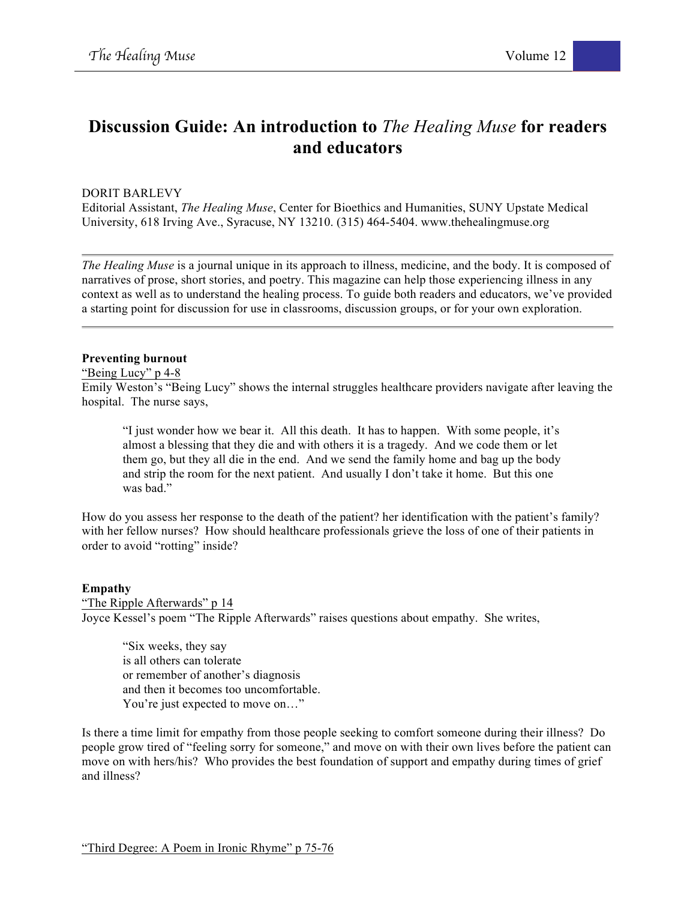# **Discussion Guide: An introduction to** *The Healing Muse* **for readers and educators**

DORIT BARLEVY

Editorial Assistant, *The Healing Muse*, Center for Bioethics and Humanities, SUNY Upstate Medical University, 618 Irving Ave., Syracuse, NY 13210. (315) 464-5404. www.thehealingmuse.org

*The Healing Muse* is a journal unique in its approach to illness, medicine, and the body. It is composed of narratives of prose, short stories, and poetry. This magazine can help those experiencing illness in any context as well as to understand the healing process. To guide both readers and educators, we've provided a starting point for discussion for use in classrooms, discussion groups, or for your own exploration.

#### **Preventing burnout**

"Being Lucy" p 4-8

Emily Weston's "Being Lucy" shows the internal struggles healthcare providers navigate after leaving the hospital. The nurse says,

"I just wonder how we bear it. All this death. It has to happen. With some people, it's almost a blessing that they die and with others it is a tragedy. And we code them or let them go, but they all die in the end. And we send the family home and bag up the body and strip the room for the next patient. And usually I don't take it home. But this one was bad."

How do you assess her response to the death of the patient? her identification with the patient's family? with her fellow nurses? How should healthcare professionals grieve the loss of one of their patients in order to avoid "rotting" inside?

## **Empathy**

"The Ripple Afterwards" p 14 Joyce Kessel's poem "The Ripple Afterwards" raises questions about empathy. She writes,

"Six weeks, they say is all others can tolerate or remember of another's diagnosis and then it becomes too uncomfortable. You're just expected to move on…"

Is there a time limit for empathy from those people seeking to comfort someone during their illness? Do people grow tired of "feeling sorry for someone," and move on with their own lives before the patient can move on with hers/his? Who provides the best foundation of support and empathy during times of grief and illness?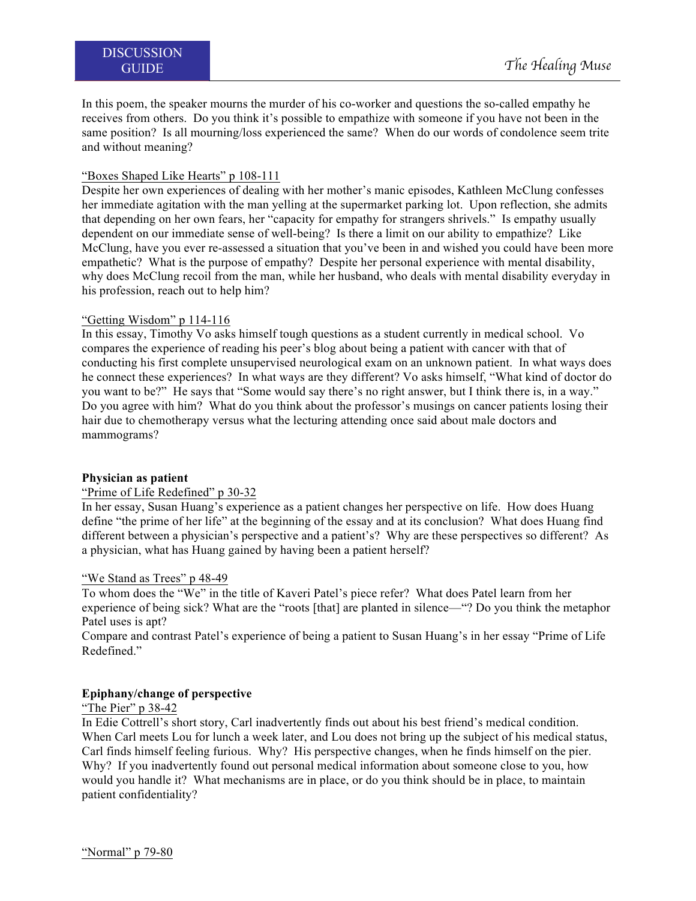In this poem, the speaker mourns the murder of his co-worker and questions the so-called empathy he receives from others. Do you think it's possible to empathize with someone if you have not been in the same position? Is all mourning/loss experienced the same? When do our words of condolence seem trite and without meaning?

# "Boxes Shaped Like Hearts" p 108-111

Despite her own experiences of dealing with her mother's manic episodes, Kathleen McClung confesses her immediate agitation with the man yelling at the supermarket parking lot. Upon reflection, she admits that depending on her own fears, her "capacity for empathy for strangers shrivels." Is empathy usually dependent on our immediate sense of well-being? Is there a limit on our ability to empathize? Like McClung, have you ever re-assessed a situation that you've been in and wished you could have been more empathetic? What is the purpose of empathy? Despite her personal experience with mental disability, why does McClung recoil from the man, while her husband, who deals with mental disability everyday in his profession, reach out to help him?

# "Getting Wisdom" p 114-116

In this essay, Timothy Vo asks himself tough questions as a student currently in medical school. Vo compares the experience of reading his peer's blog about being a patient with cancer with that of conducting his first complete unsupervised neurological exam on an unknown patient. In what ways does he connect these experiences? In what ways are they different? Vo asks himself, "What kind of doctor do you want to be?" He says that "Some would say there's no right answer, but I think there is, in a way." Do you agree with him? What do you think about the professor's musings on cancer patients losing their hair due to chemotherapy versus what the lecturing attending once said about male doctors and mammograms?

## **Physician as patient**

## "Prime of Life Redefined" p 30-32

In her essay, Susan Huang's experience as a patient changes her perspective on life. How does Huang define "the prime of her life" at the beginning of the essay and at its conclusion? What does Huang find different between a physician's perspective and a patient's? Why are these perspectives so different? As a physician, what has Huang gained by having been a patient herself?

## "We Stand as Trees" p 48-49

To whom does the "We" in the title of Kaveri Patel's piece refer? What does Patel learn from her experience of being sick? What are the "roots [that] are planted in silence—"? Do you think the metaphor Patel uses is ant?

Compare and contrast Patel's experience of being a patient to Susan Huang's in her essay "Prime of Life Redefined."

## **Epiphany/change of perspective**

# "The Pier" p 38-42

In Edie Cottrell's short story, Carl inadvertently finds out about his best friend's medical condition. When Carl meets Lou for lunch a week later, and Lou does not bring up the subject of his medical status, Carl finds himself feeling furious. Why? His perspective changes, when he finds himself on the pier. Why? If you inadvertently found out personal medical information about someone close to you, how would you handle it? What mechanisms are in place, or do you think should be in place, to maintain patient confidentiality?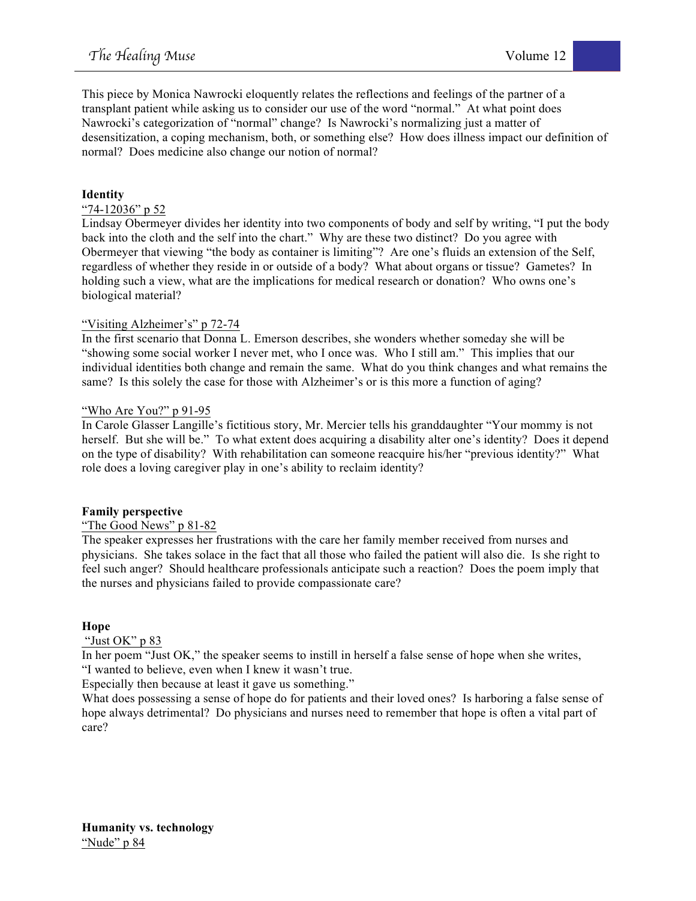This piece by Monica Nawrocki eloquently relates the reflections and feelings of the partner of a transplant patient while asking us to consider our use of the word "normal." At what point does Nawrocki's categorization of "normal" change? Is Nawrocki's normalizing just a matter of desensitization, a coping mechanism, both, or something else? How does illness impact our definition of normal? Does medicine also change our notion of normal?

# **Identity**

## "74-12036" p 52

Lindsay Obermeyer divides her identity into two components of body and self by writing, "I put the body back into the cloth and the self into the chart." Why are these two distinct? Do you agree with Obermeyer that viewing "the body as container is limiting"? Are one's fluids an extension of the Self, regardless of whether they reside in or outside of a body? What about organs or tissue? Gametes? In holding such a view, what are the implications for medical research or donation? Who owns one's biological material?

# "Visiting Alzheimer's" p 72-74

In the first scenario that Donna L. Emerson describes, she wonders whether someday she will be "showing some social worker I never met, who I once was. Who I still am." This implies that our individual identities both change and remain the same. What do you think changes and what remains the same? Is this solely the case for those with Alzheimer's or is this more a function of aging?

## "Who Are You?" p 91-95

In Carole Glasser Langille's fictitious story, Mr. Mercier tells his granddaughter "Your mommy is not herself. But she will be." To what extent does acquiring a disability alter one's identity? Does it depend on the type of disability? With rehabilitation can someone reacquire his/her "previous identity?" What role does a loving caregiver play in one's ability to reclaim identity?

## **Family perspective**

## "The Good News" p 81-82

The speaker expresses her frustrations with the care her family member received from nurses and physicians. She takes solace in the fact that all those who failed the patient will also die. Is she right to feel such anger? Should healthcare professionals anticipate such a reaction? Does the poem imply that the nurses and physicians failed to provide compassionate care?

## **Hope**

## "Just OK" p 83

In her poem "Just OK," the speaker seems to instill in herself a false sense of hope when she writes, "I wanted to believe, even when I knew it wasn't true.

Especially then because at least it gave us something."

What does possessing a sense of hope do for patients and their loved ones? Is harboring a false sense of hope always detrimental? Do physicians and nurses need to remember that hope is often a vital part of care?